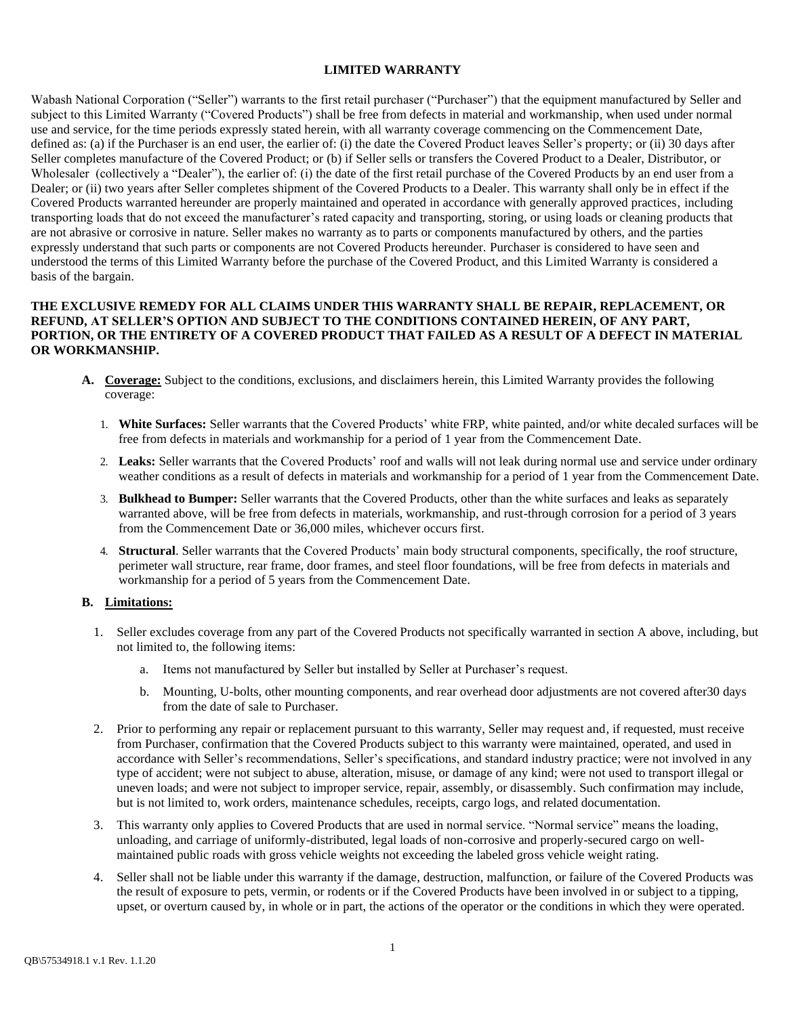### **LIMITED WARRANTY**

Wabash National Corporation ("Seller") warrants to the first retail purchaser ("Purchaser") that the equipment manufactured by Seller and subject to this Limited Warranty ("Covered Products") shall be free from defects in material and workmanship, when used under normal use and service, for the time periods expressly stated herein, with all warranty coverage commencing on the Commencement Date, defined as: (a) if the Purchaser is an end user, the earlier of: (i) the date the Covered Product leaves Seller's property; or (ii) 30 days after Seller completes manufacture of the Covered Product; or (b) if Seller sells or transfers the Covered Product to a Dealer, Distributor, or Wholesaler (collectively a "Dealer"), the earlier of: (i) the date of the first retail purchase of the Covered Products by an end user from a Dealer; or (ii) two years after Seller completes shipment of the Covered Products to a Dealer. This warranty shall only be in effect if the Covered Products warranted hereunder are properly maintained and operated in accordance with generally approved practices, including transporting loads that do not exceed the manufacturer's rated capacity and transporting, storing, or using loads or cleaning products that are not abrasive or corrosive in nature. Seller makes no warranty as to parts or components manufactured by others, and the parties expressly understand that such parts or components are not Covered Products hereunder. Purchaser is considered to have seen and understood the terms of this Limited Warranty before the purchase of the Covered Product, and this Limited Warranty is considered a basis of the bargain.

#### **THE EXCLUSIVE REMEDY FOR ALL CLAIMS UNDER THIS WARRANTY SHALL BE REPAIR, REPLACEMENT, OR REFUND, AT SELLER'S OPTION AND SUBJECT TO THE CONDITIONS CONTAINED HEREIN, OF ANY PART, PORTION, OR THE ENTIRETY OF A COVERED PRODUCT THAT FAILED AS A RESULT OF A DEFECT IN MATERIAL OR WORKMANSHIP.**

- **A. Coverage:** Subject to the conditions, exclusions, and disclaimers herein, this Limited Warranty provides the following coverage:
	- 1. **White Surfaces:** Seller warrants that the Covered Products' white FRP, white painted, and/or white decaled surfaces will be free from defects in materials and workmanship for a period of 1 year from the Commencement Date.
	- 2. **Leaks:** Seller warrants that the Covered Products' roof and walls will not leak during normal use and service under ordinary weather conditions as a result of defects in materials and workmanship for a period of 1 year from the Commencement Date.
	- 3. **Bulkhead to Bumper:** Seller warrants that the Covered Products, other than the white surfaces and leaks as separately warranted above, will be free from defects in materials, workmanship, and rust-through corrosion for a period of 3 years from the Commencement Date or 36,000 miles, whichever occurs first.
	- 4. **Structural**. Seller warrants that the Covered Products' main body structural components, specifically, the roof structure, perimeter wall structure, rear frame, door frames, and steel floor foundations, will be free from defects in materials and workmanship for a period of 5 years from the Commencement Date.

### **B. Limitations:**

- 1. Seller excludes coverage from any part of the Covered Products not specifically warranted in section A above, including, but not limited to, the following items:
	- a. Items not manufactured by Seller but installed by Seller at Purchaser's request.
	- b. Mounting, U-bolts, other mounting components, and rear overhead door adjustments are not covered after30 days from the date of sale to Purchaser.
- 2. Prior to performing any repair or replacement pursuant to this warranty, Seller may request and, if requested, must receive from Purchaser, confirmation that the Covered Products subject to this warranty were maintained, operated, and used in accordance with Seller's recommendations, Seller's specifications, and standard industry practice; were not involved in any type of accident; were not subject to abuse, alteration, misuse, or damage of any kind; were not used to transport illegal or uneven loads; and were not subject to improper service, repair, assembly, or disassembly. Such confirmation may include, but is not limited to, work orders, maintenance schedules, receipts, cargo logs, and related documentation.
- 3. This warranty only applies to Covered Products that are used in normal service. "Normal service" means the loading, unloading, and carriage of uniformly-distributed, legal loads of non-corrosive and properly-secured cargo on wellmaintained public roads with gross vehicle weights not exceeding the labeled gross vehicle weight rating.
- 4. Seller shall not be liable under this warranty if the damage, destruction, malfunction, or failure of the Covered Products was the result of exposure to pets, vermin, or rodents or if the Covered Products have been involved in or subject to a tipping, upset, or overturn caused by, in whole or in part, the actions of the operator or the conditions in which they were operated.